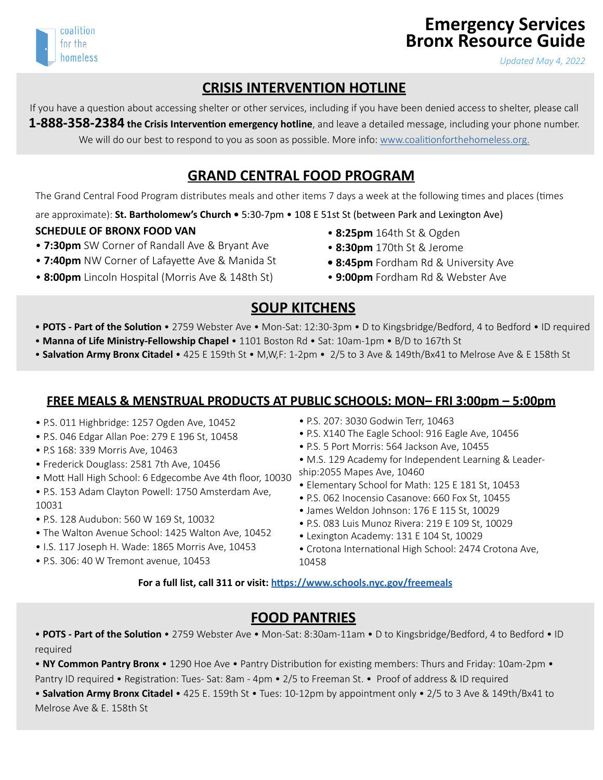# **Emergency Services Bronx Resource Guide**

*Updated May 4, 2022*

## **CRISIS INTERVENTION HOTLINE**

If you have a question about accessing shelter or other services, including if you have been denied access to shelter, please call **1-888-358-2384 the Crisis Intervention emergency hotline**, and leave a detailed message, including your phone number. We will do our best to respond to you as soon as possible. More info: [www.coalitionforthehomeless.org.](http://www.coalitionforthehomeless.org)

## **GRAND CENTRAL FOOD PROGRAM**

The Grand Central Food Program distributes meals and other items 7 days a week at the following times and places (times

are approximate): **St. Bartholomew's Church •** 5:30-7pm • 108 E 51st St (between Park and Lexington Ave)

#### **SCHEDULE OF BRONX FOOD VAN**

- **7:30pm** SW Corner of Randall Ave & Bryant Ave
- **7:40pm** NW Corner of Lafayette Ave & Manida St
- **8:00pm** Lincoln Hospital (Morris Ave & 148th St)
- • **8:25pm** 164th St & Ogden
- **8:30pm** 170th St & Jerome
- **8:45pm** Fordham Rd & University Ave
- **9:00pm** Fordham Rd & Webster Ave

## **SOUP KITCHENS**

- • **POTS Part of the Solution** 2759 Webster Ave Mon-Sat: 12:30-3pm D to Kingsbridge/Bedford, 4 to Bedford ID required
- **Manna of Life Ministry-Fellowship Chapel**  1101 Boston Rd Sat: 10am-1pm B/D to 167th St
- • **Salvation Army Bronx Citadel**  425 E 159th St M,W,F: 1-2pm 2/5 to 3 Ave & 149th/Bx41 to Melrose Ave & E 158th St

#### **FREE MEALS & MENSTRUAL PRODUCTS AT PUBLIC SCHOOLS: MON– FRI 3:00pm – 5:00pm**

- P.S. 011 Highbridge: 1257 Ogden Ave, 10452
- P.S. 046 Edgar Allan Poe: 279 E 196 St, 10458
- P.S 168: 339 Morris Ave, 10463
- Frederick Douglass: 2581 7th Ave, 10456
- Mott Hall High School: 6 Edgecombe Ave 4th floor, 10030
- P.S. 153 Adam Clayton Powell: 1750 Amsterdam Ave, 10031
- P.S. 128 Audubon: 560 W 169 St, 10032
- The Walton Avenue School: 1425 Walton Ave, 10452
- I.S. 117 Joseph H. Wade: 1865 Morris Ave, 10453
- P.S. 306: 40 W Tremont avenue, 10453
- P.S. 207: 3030 Godwin Terr, 10463
- P.S. X140 The Eagle School: 916 Eagle Ave, 10456
- P.S. 5 Port Morris: 564 Jackson Ave, 10455
- M.S. 129 Academy for Independent Learning & Leadership:2055 Mapes Ave, 10460
- Elementary School for Math: 125 E 181 St, 10453
- P.S. 062 Inocensio Casanove: 660 Fox St, 10455
- James Weldon Johnson: 176 E 115 St, 10029
- P.S. 083 Luis Munoz Rivera: 219 E 109 St, 10029
- Lexington Academy: 131 E 104 St, 10029
- Crotona International High School: 2474 Crotona Ave, 10458

**For a full list, call 311 or visit:<https://www.schools.nyc.gov/freemeals>**

## **FOOD PANTRIES**

• **POTS - Part of the Solution** • 2759 Webster Ave • Mon-Sat: 8:30am-11am • D to Kingsbridge/Bedford, 4 to Bedford • ID required

• **NY Common Pantry Bronx** • 1290 Hoe Ave • Pantry Distribution for existing members: Thurs and Friday: 10am-2pm • Pantry ID required • Registration: Tues- Sat: 8am - 4pm • 2/5 to Freeman St. • Proof of address & ID required

• **Salvation Army Bronx Citadel** • 425 E. 159th St • Tues: 10-12pm by appointment only • 2/5 to 3 Ave & 149th/Bx41 to Melrose Ave & E. 158th St

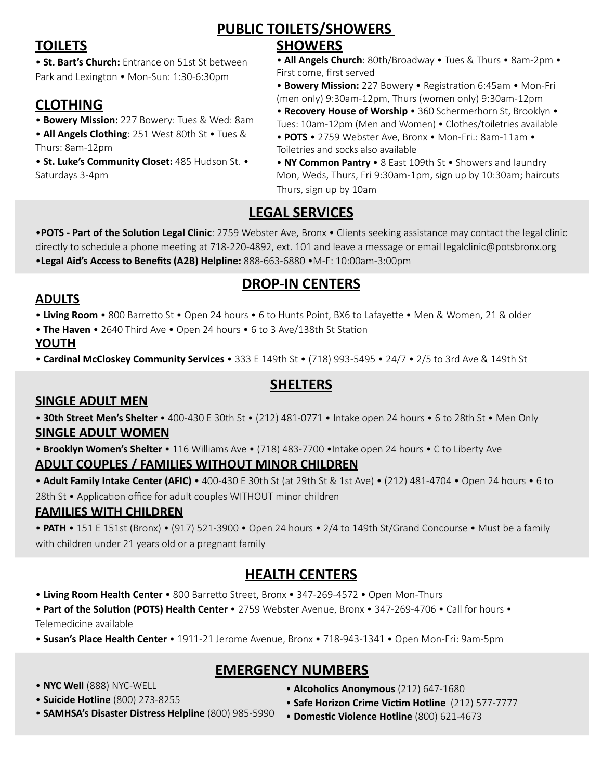# **PUBLIC TOILETS/SHOWERS**

# **TOILETS**

• **St. Bart's Church:** Entrance on 51st St between Park and Lexington • Mon-Sun: 1:30-6:30pm

# **CLOTHING**

- **Bowery Mission:** 227 Bowery: Tues & Wed: 8am • **All Angels Clothing**: 251 West 80th St • Tues &
- Thurs: 8am-12pm • **St. Luke's Community Closet:** 485 Hudson St. • Saturdays 3-4pm

#### **SHOWERS**

• **All Angels Church**: 80th/Broadway • Tues & Thurs • 8am-2pm • First come, first served

• **Bowery Mission:** 227 Bowery • Registration 6:45am • Mon-Fri (men only) 9:30am-12pm, Thurs (women only) 9:30am-12pm

• **Recovery House of Worship** • 360 Schermerhorn St, Brooklyn • Tues: 10am-12pm (Men and Women) • Clothes/toiletries available

- • **POTS**  2759 Webster Ave, Bronx Mon-Fri.: 8am-11am Toiletries and socks also available
- • **NY Common Pantry**  8 East 109th St Showers and laundry Mon, Weds, Thurs, Fri 9:30am-1pm, sign up by 10:30am; haircuts Thurs, sign up by 10am

# **LEGAL SERVICES**

•**POTS - Part of the Solution Legal Clinic**: 2759 Webster Ave, Bronx • Clients seeking assistance may contact the legal clinic directly to schedule a phone meeting at 718-220-4892, ext. 101 and leave a message or email legalclinic@potsbronx.org •**Legal Aid's Access to Benefits (A2B) Helpline:** 888-663-6880 •M-F: 10:00am-3:00pm

# **DROP-IN CENTERS**

#### **ADULTS**

• **Living Room** • 800 Barretto St • Open 24 hours • 6 to Hunts Point, BX6 to Lafayette • Men & Women, 21 & older

• **The Haven** • 2640 Third Ave • Open 24 hours • 6 to 3 Ave/138th St Station

#### **YOUTH**

• **Cardinal McCloskey Community Services** • 333 E 149th St • (718) 993-5495 • 24/7 • 2/5 to 3rd Ave & 149th St

# **SHELTERS**

#### **SINGLE ADULT MEN**

• **30th Street Men's Shelter** • 400-430 E 30th St • (212) 481-0771 • Intake open 24 hours • 6 to 28th St • Men Only **SINGLE ADULT WOMEN**

• **Brooklyn Women's Shelter** • 116 Williams Ave • (718) 483-7700 •Intake open 24 hours • C to Liberty Ave **ADULT COUPLES / FAMILIES WITHOUT MINOR CHILDREN**

• **Adult Family Intake Center (AFIC)** • 400-430 E 30th St (at 29th St & 1st Ave) • (212) 481-4704 • Open 24 hours • 6 to 28th St • Application office for adult couples WITHOUT minor children

#### **FAMILIES WITH CHILDREN**

• **PATH** • 151 E 151st (Bronx) • (917) 521-3900 • Open 24 hours • 2/4 to 149th St/Grand Concourse • Must be a family with children under 21 years old or a pregnant family

## **HEALTH CENTERS**

• **Living Room Health Center** • 800 Barretto Street, Bronx • 347-269-4572 • Open Mon-Thurs

• **Part of the Solution (POTS) Health Center** • 2759 Webster Avenue, Bronx • 347-269-4706 • Call for hours • Telemedicine available

• **Susan's Place Health Center** • 1911-21 Jerome Avenue, Bronx • 718-943-1341 • Open Mon-Fri: 9am-5pm

## **EMERGENCY NUMBERS**

- **NYC Well** (888) NYC-WELL
- • **Suicide Hotline** (800) 273-8255
- **Alcoholics Anonymous** (212) 647-1680
- **Safe Horizon Crime Victim Hotline** (212) 577-7777
- **SAMHSA's Disaster Distress Helpline** (800) 985-5990
	- **Domestic Violence Hotline** (800) 621-4673